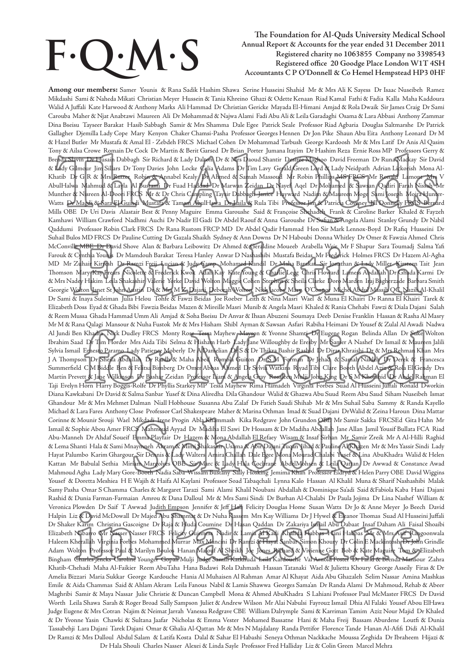# **F. Q. M.**

# The Foundation for Al-Quds University Medical School<br>
Annual Report & Accounts for the year ended 31 December 2011<br>
Registered charity no 1063855 Company no 3398543<br>
Registered office 20 Goodge Place London W1T 4SH<br>
Accoun  **Annual Report & Accounts for the year ended 31 December 2011 Registered charity no 1063855 Company no 3398543 Registered office 20 Goodge Place London W1T 4SH**

**Among our members:** Samer Younis & Rana Sadik Hashim Shawa Serine Husseini Shahid Mr & Mrs Ali K Sayess Dr Isaac Nuseibeh Ramez Mikdashi Sami & Naheda Mikati Christian Meyer Hussein & Tania Khreino Ghazi & Odette Kenaan Riad Kamal Fathi & Fadia Kalla Maha Kaddoura Walid A Juffali Kate Harwood & Anthony Marks Ali Hammad Dr Christian Gericke Mayada El-Himani Amjad & Rola Dwaik Sir James Craig Dr Sami Carouba Maher & Njat Anabtawi Maureen Ali Dr Mohammad & Najwa Alami Fadi Abu Ali & Leila Garadaghi Osama & Lara Abbasi Anthony Zammar Dina Bseisu Tayseer Barakat Hasib Sabbagh Samir & Mrs Shamma Dale Egee Patrick Seale Professor Riad Agbaria Douglas Saltmarshe Dr Patrick Gallagher Djemilla Lady Cope Mary Kenyon Chaker Chamsi-Pasha Professor Georges Hennen Dr Jon Pike Shaun Abu Eita Anthony Leonard Dr M & Hazel Butler Mr Mustafa & Amal El - Zebdeh FRCS Michael Cohen Dr Mohammad Tarbush George Kardoosh Mr & Mrs Latif Dr Anis Al Qasim Tony & Ailsa Crowe Romain De Cock Dr Martin & Berit Garsed Dr Brian Porter Jumana Itayim Dr Hashim Reza Ernie Ross MP Professors Gerry & Brenda Slavin Dr Husain Dabbagh Sir Richard & Lady Dalton Dr & Mrs Daoud Shantir Desirée Maghoo David Freeman Dr Runa Mackay Sir David & Lady Gilmour Jim Sillars Dr Tony Davies John Locke Celia Adams Dr Tim Lavy Gerald Green Lord & Lady Neidpath Adrian Lickorish Mona Al-Khatib Dr G R & Mrs Rutter Robin & Annabel Kealy Dr Ahmed & Samah Massoud Mr Robin Phillips MS FRCS Mr Ronald Lamont Mrs V AbulHalwa Mahmud & Layla Al Bustami Dr Fuad Haddad Dr Marwan Zeidan Dr Nayef Aqel Dr Mohamed & Sawsan Qadiri Farah Nissah Mr Munther & Nisreen Al-Doori FRCS Mr & Dr Chris Campling Taysir Dabbagh Janice Hayward Nadim & Maureen Moge Sami Joseph Moira Hunter-Watts Dr Magdi & Sara El Guindi Mustafa & Tamam AbulHawa Dr Laila & Rula Tibi Professor Jim & Patricia Coveney Jill Donnelly FRCS Bernard Mills OBE Dr Uri Davis Alastair Best & Penny Maguire Emma Garoushe Said & Françoise Shehadeh Frank & Caroline Barker Khaled & Fayzeh Kamhawi William Crawford Nadhmi Auchi Dr Nadir El Gadi Dr Abdel Raouf & Anna Garoushe Dr Sufian & Angela Alami Stanley Grundy Dr Nabil Qaddumi Professor Robin Clark FRCS Dr Rana Rustom FRCP MD Dr Abdel Qadir Hammad Hon Sir Mark Lennox-Boyd Dr Rafiq Husseini Dr Suhail Bulos MD FRCS Dr Pauline Cutting Dr Gazala Shaikh Sydney & Ann Downs Dr N Haboubi Donna Whitley Dr Omer & Fawzia Ahmed Chris McConville MBE Dr David Shove Alan & Barbara Leibowitz Dr Ahmed & Geraldine Moueeb Arabella Weir Mr F Shapur Sara Toumadj Salma Yafi Farouk & Cynthia Younis Dr Mamdouh Barakat Teresa Hanley Anwar D Nashashibi Mustafa Beidas Mr Frederick Holmes FRCS Dr Hazem Al-Agha MD Mr Zuhair Kirresh Dr Ramzi Freij Lucian & Judy Camp Mohamed Kandil Dr Maha Barakat Sir Jonathan & Lady Miller Kirsteen Tait Jean Thomson Mary-Kay Frears Nicolette & Frederick Kwok Adah Kay Kate Young & Charlie Legg Chris Howard Lamess Abdallah Dr Ghada Karmi Dr & Mrs Nadey Hakim Leila Shakashir Valerie Yorke David Wolton Maggie Cohen Stephen & Sheila Clarke Doro Marden Iraj Bagherzade Barbara Smith Georgie Wolton Janet St John Austin Dr & Mrs M Z Dajani Deborah Wolton Nick Jacobs Mary O'Connor Michel Abdul Massih QC Nazih Al-Khalil Dr Sami & Inaya Suleiman Julia Helou Tohfe & Fawzi Beidas Joe Roeber Leith & Nina Masri Wael & Muna El Khairi Dr Ranna El Khairi Tarek & Elizabeth Doss Eyad & Ghada Bibi Fawzia Beidas Mazen & Mireille Masri Munib & Angela Masri Khaled & Rania Chehabi Fawzi & Diala Dajani Salah & Reem Mussa Ghada Hammad Umm Ali Amjad & Soha Bseisu Dr Anvar & Ihsan Abuzeni Soumaya Deeb Denise Franklin Hassan & Rasha Al Masry Mr M & Rana Qalagi Mansour & Nuha Fustok Mr & Mrs Hisham Shibl Ayman & Sawsan Asfari Rabiha Heimani Dr Yousef & Zulal Al Awadi Nadwa Al Jundi Ben Khadra Nick Dudley FRCS Monty Rose Tessa Mayhew Mayson & Yvonne Shamti Dr Eugene Rogan Belinda Allan Dr Suke Wolton Ibrahim Saad Dr Tim Horder Mrs Aida Tibi Selma & Hisham Harb Lady Jane Willoughby de Eresby Mr Samer A Nashef Dr Ismail & Maureen Jalili Sylvia Ismail Ernesto Paramo Lady Patience Moberly Dr A Danielian Dr S & Dr Thikra Bashir Rashid Dr Dirar Khraishi Dr & Mrs Rehman Khan Mrs J A Thompson Dr Sheila Abdullah Dr Riadh & Maha Abed Romola Guiton Dr S M Forman Dr Jehad & Samah Nakleh Dr Derek & Francesca Summerfield C M Biddle Ben & Felitsa Birnberg Dr Omer Abbas Ahmed Dr Sylvia Watkins Riyad Tibi Clare Booth Abdel Aziz & Rola El Gendy Drs Martin Prevett & Jane Wilkinson Dr Bashar Zeidan Professor Liam & Angela Gray Rosaleen Mulji John King Dr S M Khorshid Dr Abdel Rahman El Taji Evelyn Horn Harry Boggis-Rolfe Dr Phyllis Starkey MP Tessa Mayhew Rima Hamadeh Virginia Forbes Suad Al Husseini Juffali Ronald Dworkin Diana Kawkabani Dr David & Salma Sanbar Yusef & Dina Aliredha Dila Ghandour Walid & Ghazwa Abu Suud Reem Abu Saud Siham Nuseibeh Ismat Ghandour Mr & Mrs Mehmet Dalman Niall Hobhouse Susanna Abu Zalaf Dr Fatieh Saudi Shihab Mr & Mrs Suhail Saba Sammy & Randa Kayello Michael & Lara Fares Anthony Close Professor Carl Shakespeare Maher & Marina Othman Imad & Suad Dajani DrWalid & Zeina Haroun Dina Mattar Corinne & Mounir Srouji Wael Mikdadi Irene Progin Abla Khammash Kika Redgrave John Grundon OBE Mr Samir Sakka FRCSEd Gita Hahn Mr Ismail & Sophie Abou Amer FRCS Mahmoud Ayyad Dr Madiha El Sawi Dr Hossam & Dr Madiha Abdallah Jane Allan Jamil Yousif Bullata FCA Riad Abu-Manneh Dr Ahdaf Soueif Emma Playfair Dr Hazem & Mona Abdallah El Refaey Wisam & Insaf Sirhan Mr Samir Zreik Mr A Al-Hilli Raghid & Lema Shanti Hala & Sami Mnaymneh Akram & Mimi Shakashir Usama & Abir Dajani Tuqan Jihad & Pauline Al Khazen Mr & Mrs Yassir Sindi Lady Hayat Palumbo Karim Ghargour Sir Dennis & Lady Walters Amira Challah Dale Egee Mona Mourad Chalabi Yusef & Lina AbuKhadra Walid & Helen Kattan Mr Babulal Sethia Miriam Margolyes OBE Sir Marc & Lady Hala Cochrane AbdelMohsen & Leila Qattan Dr Awwad & Constance Awad Mahmoud Agha Lady Mary Gore-Booth Nadia Saba Wissam Bustany Sally Hosking Jemima Khan Professor Eldryd & Helen Parry OBE David Wiggins Yousef & Doretta Meshiea H E Wajih & Haifa Al Kaylani Professor Soad Tabaqchali Lynna Kalo Hassan Al Khalil Muna & Sharif Nashashibi Malak Samy Pasha Omar S Chamma Charles & Margaret Tarazi Sami Alami Khalil Noubani Abdallah & Dominique Sa'adi Said &Fabiola Kaba Hani Dajani Rashid & Dunia Farman-Farmaian Amrou & Dana Dalloul Mr & Mrs Sami Sindi Dr Burhan Al-Chalabi Dr Paula Jojima Dr Lina Nashef William & Veronica Plowden Dr Saif T Awwad Judith Empson Jennifer & Jeff Hall Felicity Douglas Home Susan Watts Dr Jo & Anne Meyer Jo Beech David Halpin Liz & David McDowall Dr Majed Abu Shammat & Dr Nuha Kassem Mrs Kay Williams Dr J Hywel & Eleanor Thomas Suad Al Husseini Juffali Dr Shaker Karim Christina Gascoigne Dr Raja & Huda Coumine Dr Hasan Qaddan Dr Zakariya Ismail Abu Dabaat Insaf Daham Ali Faisal Shoaibi Elizabeth Nabarro Mr Nasser Nasser FRCS Felicity Guinness Nadir & Lamia Al Kadi Khalida Habbas Hani Habbas Mr & Mrs Asif Rangoonwala Haleem Kherallah Virginia Forbes Mohammed Murrar Max Mancini Dr Ramzi & Hayat Sanbar Simon Khoury Dr Colin E Mackintosh Dr John Grindle Adam Wolton Professor Paul & Marilyn Boulos Hanan Malouf Al Sheikh Joe Jones Richard & Vivienne Gott Bob & Kate Maguire Tom & Elizabeth Bingham Charles Jencks Caroline Younger Gopali Mulji Judge Samih Katkhuda Leila Kardouche Val Arnold Foster Dr Farid & Brenda Mansour Zahra Khatib-Chehadi Maha Al-Faikier Reem AbuTaha Hana Badawi Rola Dahmash Hassan Tatanaki Wael & Julietta Khoury George Asseily Firas & Dr Amelia Bizzari Maria Sukkar George Kardouche Hania Al Muhaisen Al Rahman Amar Al Khayat Aida Abu Ghazaleh Selim Nassar Amina Mashkas Emile & Aida Chammas Said & Ahlam Akram Leila Fanous Nabil & Lamis Shawwa Georges Sama'an Dr Randa Alami Dr Mahmoud, Rehab & Abeer Maghribi Samir & Maya Nassar Julie Christie & Duncan Campbell Mona & Ahmed AbuKhadra S Lahiani Professor Paul McMaster FRCS Dr David Worth Leila Shawa Sarah & Roger Broad Sally Sampson Juliet & Andrew Wilson Mr Alai Nabulsi Fayrouz Ismail Dhia Al Falaki Yousef Abou ElHawa Judge Eugene & Mrs Cotran Najim & Neimat Jarrah Vanessa Redgrave CBE William Dalrymple Sami & Karriman Tamim Aziz Nour Majid Dr Khaled & Dr Yvonne Yasin Chawki & Sultana Jaafar Nicholas & Emma Vester Mohamed Bassatne Hani & Maha Freij Bassam Aburdene Loutfi & Dunia Tassabehji Lara Dajani Tarek Dajani Omar & Ghalia Al-Qattan Mr & Mrs N Majdalany Randa Pettifor Florence Tande Hanan Al-Afifi Didi Al-Khalil Dr Ramzi & Mrs Dalloul Abdul Salam & Latifa Kosta Dalal & Sahar El Habashi Seneya Othman Nackkache Moussa Zeghida Dr Ibraheem Hijazi & Dr Hala Shouli Charles Nasser Alexei & Linda Sayle Professor Fred Halliday Liz & Colin Green Marcel Mehra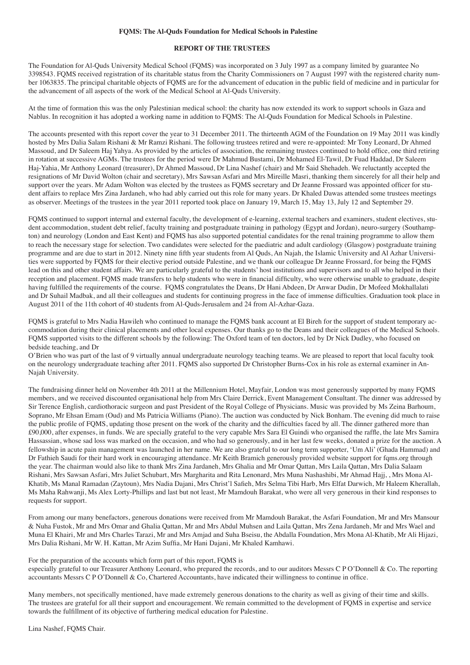#### **FQMS: The Al-Quds Foundation for Medical Schools in Palestine**

#### **REPORT OF THE TRUSTEES**

The Foundation for Al-Quds University Medical School (FQMS) was incorporated on 3 July 1997 as a company limited by guarantee No 3398543. FQMS received registration of its charitable status from the Charity Commissioners on 7 August 1997 with the registered charity number 1063835. The principal charitable objects of FQMS are for the advancement of education in the public field of medicine and in particular for the advancement of all aspects of the work of the Medical School at Al-Quds University.

At the time of formation this was the only Palestinian medical school: the charity has now extended its work to support schools in Gaza and Nablus. In recognition it has adopted a working name in addition to FQMS: The Al-Quds Foundation for Medical Schools in Palestine.

The accounts presented with this report cover the year to 31 December 2011. The thirteenth AGM of the Foundation on 19 May 2011 was kindly hosted by Mrs Dalia Salam Rishani & Mr Ramzi Rishani. The following trustees retired and were re-appointed: Mr Tony Leonard, Dr Ahmed Massoud, and Dr Saleem Haj Yahya. As provided by the articles of association, the remaining trustees continued to hold office, one third retiring in rotation at successive AGMs. The trustees for the period were Dr Mahmud Bustami, Dr Mohamed El-Tawil, Dr Fuad Haddad, Dr Saleem Haj-Yahia, Mr Anthony Leonard (treasurer), Dr Ahmed Massoud, Dr Lina Nashef (chair) and Mr Said Shehadeh. We reluctantly accepted the resignations of Mr David Wolton (chair and secretary), Mrs Sawsan Asfari and Mrs Mireille Masri, thanking them sincerely for all their help and support over the years. Mr Adam Wolton was elected by the trustees as FQMS secretary and Dr Jeanne Frossard was appointed officer for student affairs to replace Mrs Zina Jardaneh, who had ably carried out this role for many years. Dr Khaled Dawas attended some trustees meetings as observer. Meetings of the trustees in the year 2011 reported took place on January 19, March 15, May 13, July 12 and September 29.

FQMS continued to support internal and external faculty, the development of e-learning, external teachers and examiners, student electives, student accommodation, student debt relief, faculty training and postgraduate training in pathology (Egypt and Jordan), neuro-surgery (Southampton) and neurology (London and East Kent) and FQMS has also supported potential candidates for the renal training programme to allow them to reach the necessary stage for selection. Two candidates were selected for the paediatric and adult cardiology (Glasgow) postgraduate training programme and are due to start in 2012. Ninety nine fifth year students from Al Quds, An Najah, the Islamic University and Al Azhar Universities were supported by FQMS for their elective period outside Palestine, and we thank our colleague Dr Jeanne Frossard, for being the FQMS lead on this and other student affairs. We are particularly grateful to the students' host institutions and supervisors and to all who helped in their reception and placement. FQMS made transfers to help students who were in financial difficulty, who were otherwise unable to graduate, despite having fulfilled the requirements of the course. FQMS congratulates the Deans, Dr Hani Abdeen, Dr Anwar Dudin, Dr Mofeed Mokhallalati and Dr Suhail Madbak, and all their colleagues and students for continuing progress in the face of immense difficulties. Graduation took place in August 2011 of the 11th cohort of 40 students from Al-Quds-Jerusalem and 24 from Al-Azhar-Gaza.

FQMS is grateful to Mrs Nadia Hawileh who continued to manage the FQMS bank account at El Bireh for the support of student temporary accommodation during their clinical placements and other local expenses. Our thanks go to the Deans and their colleagues of the Medical Schools. FQMS supported visits to the different schools by the following: The Oxford team of ten doctors, led by Dr Nick Dudley, who focused on bedside teaching, and Dr

O'Brien who was part of the last of 9 virtually annual undergraduate neurology teaching teams. We are pleased to report that local faculty took on the neurology undergraduate teaching after 2011. FQMS also supported Dr Christopher Burns-Cox in his role as external examiner in An-Najah University.

The fundraising dinner held on November 4th 2011 at the Millennium Hotel, Mayfair, London was most generously supported by many FQMS members, and we received discounted organisational help from Mrs Claire Derrick, Event Management Consultant. The dinner was addressed by Sir Terence English, cardiothoracic surgeon and past President of the Royal College of Physicians. Music was provided by Ms Zeina Barhoum, Soprano, Mr Ehsan Emam (Oud) and Ms Patricia Williams (Piano). The auction was conducted by Nick Bonham. The evening did much to raise the public profile of FQMS, updating those present on the work of the charity and the difficulties faced by all. The dinner gathered more than £90,000, after expenses, in funds. We are specially grateful to the very capable Mrs Sara El Guindi who organised the raffle, the late Mrs Samira Hassassian, whose sad loss was marked on the occasion, and who had so generously, and in her last few weeks, donated a prize for the auction. A fellowship in acute pain management was launched in her name. We are also grateful to our long term supporter, 'Um Ali' (Ghada Hammad) and Dr Fathieh Saudi for their hard work in encouraging attendance. Mr Keith Bramich generously provided website support for fqms.org through the year. The chairman would also like to thank Mrs Zina Jardaneh, Mrs Ghalia and Mr Omar Qattan, Mrs Laila Qattan, Mrs Dalia Salaam Rishani, Mrs Sawsan Asfari, Mrs Juliet Schubart, Mrs Margharita and Rita Lenonard, Mrs Muna Nashashibi, Mr Ahmad Hajj, , Mrs Mona Al-Khatib, Ms Manal Ramadan (Zaytoun), Mrs Nadia Dajani, Mrs Christ'l Safieh, Mrs Selma Tibi Harb, Mrs Elfat Darwich, Mr Haleem Kherallah, Ms Maha Rahwanji, Ms Alex Lorty-Phillips and last but not least, Mr Mamdouh Barakat, who were all very generous in their kind responses to requests for support.

From among our many benefactors, generous donations were received from Mr Mamdouh Barakat, the Asfari Foundation, Mr and Mrs Mansour & Nuha Fustok, Mr and Mrs Omar and Ghalia Qattan, Mr and Mrs Abdul Muhsen and Laila Qattan, Mrs Zena Jardaneh, Mr and Mrs Wael and Muna El Khairi, Mr and Mrs Charles Tarazi, Mr and Mrs Amjad and Suha Bseisu, the Abdalla Foundation, Mrs Mona Al-Khatib, Mr Ali Hijazi, Mrs Dalia Rishani, Mr W. H. Kattan, Mr Azim Suffia, Mr Hani Dajani, Mr Khaled Kamhawi.

#### For the preparation of the accounts which form part of this report, FQMS is

especially grateful to our Treasurer Anthony Leonard, who prepared the records, and to our auditors Messrs C P O'Donnell & Co. The reporting accountants Messrs C P O'Donnell & Co, Chartered Accountants, have indicated their willingness to continue in office.

Many members, not specifically mentioned, have made extremely generous donations to the charity as well as giving of their time and skills. The trustees are grateful for all their support and encouragement. We remain committed to the development of FQMS in expertise and service towards the fulfillment of its objective of furthering medical education for Palestine.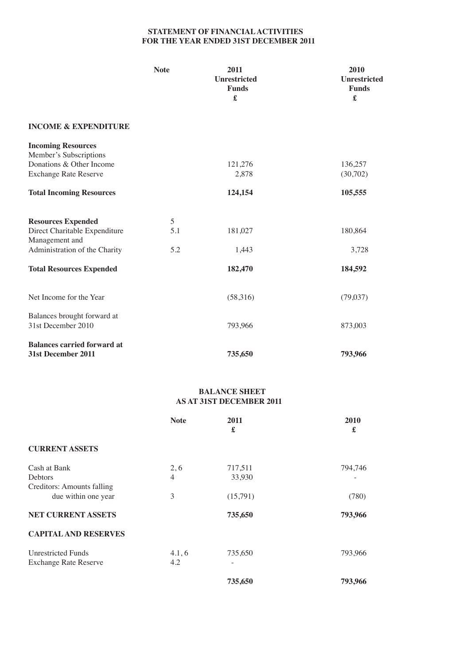# **STATEMENT OF FINANCIAL ACTIVITIES FOR THE YEAR ENDED 31ST DECEMBER 2011**

|                                                                                                                 | <b>Note</b> | 2011<br><b>Unrestricted</b><br><b>Funds</b><br>£ | 2010<br>Unrestricted<br><b>Funds</b><br>£ |
|-----------------------------------------------------------------------------------------------------------------|-------------|--------------------------------------------------|-------------------------------------------|
| <b>INCOME &amp; EXPENDITURE</b>                                                                                 |             |                                                  |                                           |
| <b>Incoming Resources</b><br>Member's Subscriptions<br>Donations & Other Income<br><b>Exchange Rate Reserve</b> |             | 121,276<br>2,878                                 | 136,257<br>(30,702)                       |
| <b>Total Incoming Resources</b>                                                                                 |             | 124,154                                          | 105,555                                   |
| <b>Resources Expended</b>                                                                                       | 5           |                                                  |                                           |
| Direct Charitable Expenditure<br>Management and                                                                 | 5.1         | 181,027                                          | 180,864                                   |
| Administration of the Charity                                                                                   | 5.2         | 1,443                                            | 3,728                                     |
| <b>Total Resources Expended</b>                                                                                 |             | 182,470                                          | 184,592                                   |
| Net Income for the Year                                                                                         |             | (58,316)                                         | (79,037)                                  |
| Balances brought forward at<br>31st December 2010                                                               |             | 793,966                                          | 873,003                                   |
| <b>Balances carried forward at</b><br>31st December 2011                                                        |             | 735,650                                          | 793,966                                   |

## **BALANCE SHEET AS AT 31ST DECEMBER 2011**

|                              | <b>Note</b>    | 2011<br>£ | 2010<br>£ |
|------------------------------|----------------|-----------|-----------|
| <b>CURRENT ASSETS</b>        |                |           |           |
| Cash at Bank                 | 2,6            | 717,511   | 794,746   |
| <b>Debtors</b>               | $\overline{4}$ | 33,930    |           |
| Creditors: Amounts falling   |                |           |           |
| due within one year          | 3              | (15,791)  | (780)     |
| NET CURRENT ASSETS           |                | 735,650   | 793,966   |
| <b>CAPITAL AND RESERVES</b>  |                |           |           |
| <b>Unrestricted Funds</b>    | 4.1, 6         | 735,650   | 793,966   |
| <b>Exchange Rate Reserve</b> | 4.2            |           |           |
|                              |                | 735,650   | 793,966   |